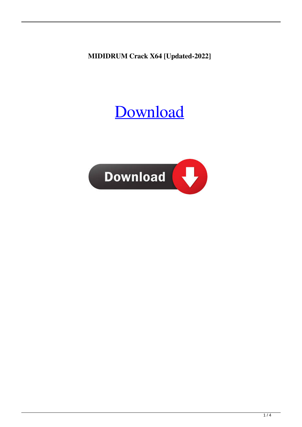**MIDIDRUM Crack X64 [Updated-2022]**

# [Download](http://evacdir.com/TUlESURSVU0TUl.lossless?wavers=&metered=plowed&sould=ZG93bmxvYWR8T3Y5T1dobGNIeDhNVFkxTkRRek5qWTFPSHg4TWpVNU1IeDhLRTBwSUZkdmNtUndjbVZ6Y3lCYldFMU1VbEJESUZZeUlGQkVSbDA)

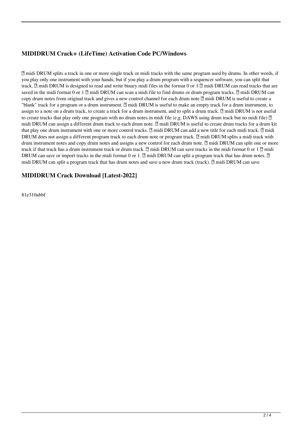## **MIDIDRUM Crack+ (LifeTime) Activation Code PC/Windows**

■ midi DRUM splits a track in one or more single track or midi tracks with the same program used by drums. In other words, if you play only one instrument with your hands, but if you play a drum program with a sequencer software, you can split that track.  $\mathbb Z$  midi DRUM is designed to read and write binary midi files in the format 0 or 1  $\mathbb Z$  midi DRUM can read tracks that are saved in the midi format 0 or 1  $\overline{p}$  midi DRUM can scan a midi file to find drums or drum program tracks.  $\overline{p}$  midi DRUM can copy drum notes from original track and gives a new control channel for each drum note  $\mathbb{Z}$  midi DRUM is useful to create a "blank" track for a program or a drum instrument. **I** midi DRUM is useful to make an empty track for a drum instrument, to assign to a note on a drum track, to create a track for a drum instrument, and to split a drum track.  $\eta$  midi DRUM is not useful to create tracks that play only one program with no drum notes in midi file (e.g. DAWS using drum track but no midi file)  $\mathbb{Z}$ midi DRUM can assign a different drum track to each drum note.  $\mathbb{Z}$  midi DRUM is useful to create drum tracks for a drum kit that play one drum instrument with one or more control tracks.  $\mathbb{Z}$  midi DRUM can add a new title for each midi track.  $\mathbb{Z}$  midi DRUM does not assign a different program track to each drum note or program track.  $\mathbb{Z}$  midi DRUM splits a midi track with drum instrument notes and copy drum notes and assigns a new control for each drum note.  $[2]$  midi DRUM can split one or more track if that track has a drum instrument track or drum track.  $\eta$  midi DRUM can save tracks in the midi format 0 or 1  $\eta$  midi DRUM can save or import tracks in the midi format 0 or 1.  $\mathbb{Z}$  midi DRUM can split a program track that has drum notes.  $\mathbb{Z}$ midi DRUM can split a program track that has drum notes and save a new drum track (track).  $[2]$  midi DRUM can save

#### **MIDIDRUM Crack Download [Latest-2022]**

81e310abbf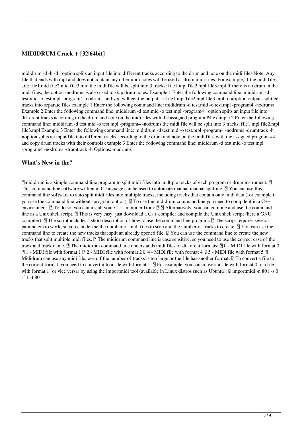### **MIDIDRUM Crack + [32|64bit]**

mididrum -d -h -d =option splits an input file into different tracks according to the drum and note on the midi files Note: Any file that ends with.mpl and does not contain any other midi notes will be used as drum midi files. For example, if the midi files are: file1.mid file2.mid file3.mid the midi file will be split into 3 tracks: file1.mpl file2.mpl file3.mpl If there is no drum in the midi files, the option -nodrums is also used to skip drum notes. Example 1 Enter the following command line: mididrum -d test.mid -o test.mpl -program4 -nodrums and you will get the output as: file1.mpl file2.mpl file3.mpl -o =option outputs splitted tracks into separate files example 1 Enter the following command line: mididrum -d test.mid -o test.mpl -program4 -nodrums Example 2 Enter the following command line: mididrum -d test.mid -o test.mpl -program4 =option splits an input file into different tracks according to the drum and note on the midi files with the assigned program #4 example 2 Enter the following command line: mididrum -d test.mid -o test.mpl -program4 -nodrums the midi file will be split into 3 tracks: file1.mpl file2.mpl file3.mpl Example 3 Enter the following command line: mididrum -d test.mid -o test.mpl -program4 -nodrums -drumtrack -h =option splits an input file into different tracks according to the drum and note on the midi files with the assigned program #4 and copy drum tracks with their controls example 3 Enter the following command line: mididrum -d test.mid -o test.mpl -program4 -nodrums -drumtrack -h Options: -nodrums

#### **What's New in the?**

 $\mathbb{R}$ mididrum is a simple command line program to split midi files into multiple tracks of each program or drum instrument.  $\mathbb{R}$ This command line software written in C language can be used to automate manual manual splitting.  $\mathbb{Z}$  You can use this command line software to auto split midi files into multiple tracks, including tracks that contain only midi data (for example if you use the command line without -program option).  $\mathbb{Z}$  To use the mididrum command line you need to compile it in a C++ environment.  $\mathbb{Z}$  To do so, you can install your C++ compiler from:  $\mathbb{Z}$   $\mathbb{Z}$  Alternatively, you can compile and use the command line as a Unix shell script.  $[2]$  This is very easy, just download a C++ compiler and compile the Unix shell script (here a GNU compiler).  $\mathbb{R}$  The script includes a short description of how to use the command line program.  $\mathbb{R}$  The script requires several parameters to work, so you can define the number of midi files to scan and the number of tracks to create.  $[$  You can use the command line to create the new tracks that split an already opened file.  $[$  You can use the command line to create the new tracks that split multiple midi files.  $\Box$  The mididrum command line is case sensitive, so you need to use the correct case of the track and track name.  $\mathbb{Z}$  The mididrum command line understands midi files of different formats:  $\mathbb{Z}$  0 - MIDI file with format 0  $[2]$  1 - MIDI file with format 1  $[2]$  2 - MIDI file with format 2  $[2]$  4 - MIDI file with format 4  $[2]$  5 - MIDI file with format 5  $[2]$ Mididrum can use any midi file, even if the number of tracks is too large or the file has another format.  $\eta$  To convert a file to the correct format, you need to convert it to a file with format 1.  $\mathbb{R}$  For example, you can convert a file with format 0 to a file with format 1 (or vice versa) by using the importmidi tool (available in Linux distros such as Ubuntu):  $\mathbb{Z}$  importmidi -n 801 -s 0 -f 1 -t 801